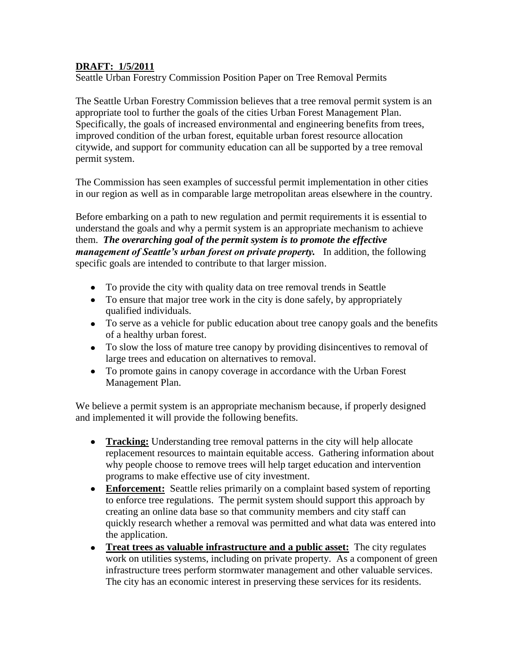## **DRAFT: 1/5/2011**

Seattle Urban Forestry Commission Position Paper on Tree Removal Permits

The Seattle Urban Forestry Commission believes that a tree removal permit system is an appropriate tool to further the goals of the cities Urban Forest Management Plan. Specifically, the goals of increased environmental and engineering benefits from trees, improved condition of the urban forest, equitable urban forest resource allocation citywide, and support for community education can all be supported by a tree removal permit system.

The Commission has seen examples of successful permit implementation in other cities in our region as well as in comparable large metropolitan areas elsewhere in the country.

Before embarking on a path to new regulation and permit requirements it is essential to understand the goals and why a permit system is an appropriate mechanism to achieve them. *The overarching goal of the permit system is to promote the effective management of Seattle's urban forest on private property.* In addition, the following specific goals are intended to contribute to that larger mission.

- To provide the city with quality data on tree removal trends in Seattle
- To ensure that major tree work in the city is done safely, by appropriately qualified individuals.
- To serve as a vehicle for public education about tree canopy goals and the benefits of a healthy urban forest.
- To slow the loss of mature tree canopy by providing disincentives to removal of large trees and education on alternatives to removal.
- To promote gains in canopy coverage in accordance with the Urban Forest Management Plan.

We believe a permit system is an appropriate mechanism because, if properly designed and implemented it will provide the following benefits.

- **Tracking:** Understanding tree removal patterns in the city will help allocate replacement resources to maintain equitable access. Gathering information about why people choose to remove trees will help target education and intervention programs to make effective use of city investment.
- **Enforcement:** Seattle relies primarily on a complaint based system of reporting to enforce tree regulations. The permit system should support this approach by creating an online data base so that community members and city staff can quickly research whether a removal was permitted and what data was entered into the application.
- **Treat trees as valuable infrastructure and a public asset:** The city regulates work on utilities systems, including on private property. As a component of green infrastructure trees perform stormwater management and other valuable services. The city has an economic interest in preserving these services for its residents.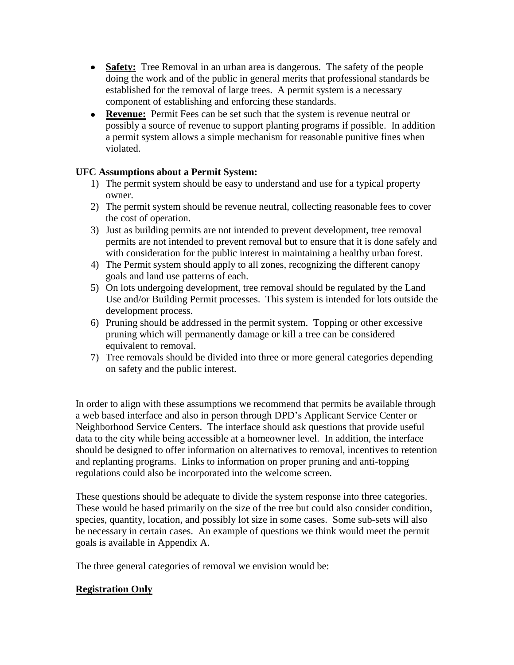- **Safety:** Tree Removal in an urban area is dangerous. The safety of the people doing the work and of the public in general merits that professional standards be established for the removal of large trees. A permit system is a necessary component of establishing and enforcing these standards.
- **Revenue:** Permit Fees can be set such that the system is revenue neutral or possibly a source of revenue to support planting programs if possible. In addition a permit system allows a simple mechanism for reasonable punitive fines when violated.

### **UFC Assumptions about a Permit System:**

- 1) The permit system should be easy to understand and use for a typical property owner.
- 2) The permit system should be revenue neutral, collecting reasonable fees to cover the cost of operation.
- 3) Just as building permits are not intended to prevent development, tree removal permits are not intended to prevent removal but to ensure that it is done safely and with consideration for the public interest in maintaining a healthy urban forest.
- 4) The Permit system should apply to all zones, recognizing the different canopy goals and land use patterns of each.
- 5) On lots undergoing development, tree removal should be regulated by the Land Use and/or Building Permit processes. This system is intended for lots outside the development process.
- 6) Pruning should be addressed in the permit system. Topping or other excessive pruning which will permanently damage or kill a tree can be considered equivalent to removal.
- 7) Tree removals should be divided into three or more general categories depending on safety and the public interest.

In order to align with these assumptions we recommend that permits be available through a web based interface and also in person through DPD's Applicant Service Center or Neighborhood Service Centers. The interface should ask questions that provide useful data to the city while being accessible at a homeowner level. In addition, the interface should be designed to offer information on alternatives to removal, incentives to retention and replanting programs. Links to information on proper pruning and anti-topping regulations could also be incorporated into the welcome screen.

These questions should be adequate to divide the system response into three categories. These would be based primarily on the size of the tree but could also consider condition, species, quantity, location, and possibly lot size in some cases. Some sub-sets will also be necessary in certain cases. An example of questions we think would meet the permit goals is available in Appendix A.

The three general categories of removal we envision would be:

# **Registration Only**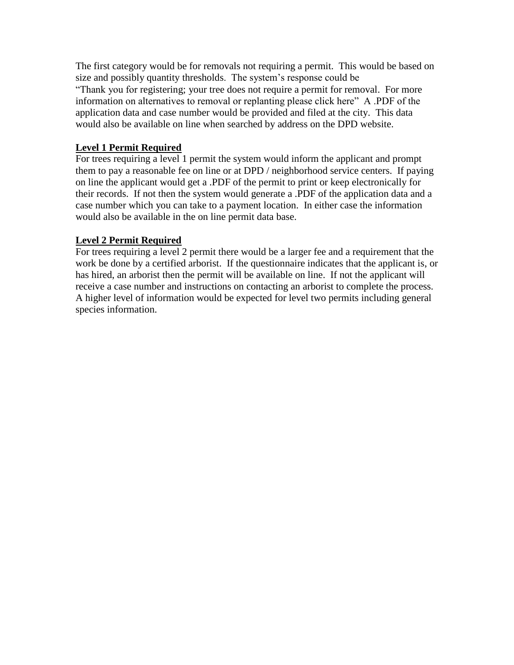The first category would be for removals not requiring a permit. This would be based on size and possibly quantity thresholds. The system's response could be "Thank you for registering; your tree does not require a permit for removal. For more information on alternatives to removal or replanting please click here" A .PDF of the application data and case number would be provided and filed at the city. This data would also be available on line when searched by address on the DPD website.

## **Level 1 Permit Required**

For trees requiring a level 1 permit the system would inform the applicant and prompt them to pay a reasonable fee on line or at DPD / neighborhood service centers. If paying on line the applicant would get a .PDF of the permit to print or keep electronically for their records. If not then the system would generate a .PDF of the application data and a case number which you can take to a payment location. In either case the information would also be available in the on line permit data base.

### **Level 2 Permit Required**

For trees requiring a level 2 permit there would be a larger fee and a requirement that the work be done by a certified arborist. If the questionnaire indicates that the applicant is, or has hired, an arborist then the permit will be available on line. If not the applicant will receive a case number and instructions on contacting an arborist to complete the process. A higher level of information would be expected for level two permits including general species information.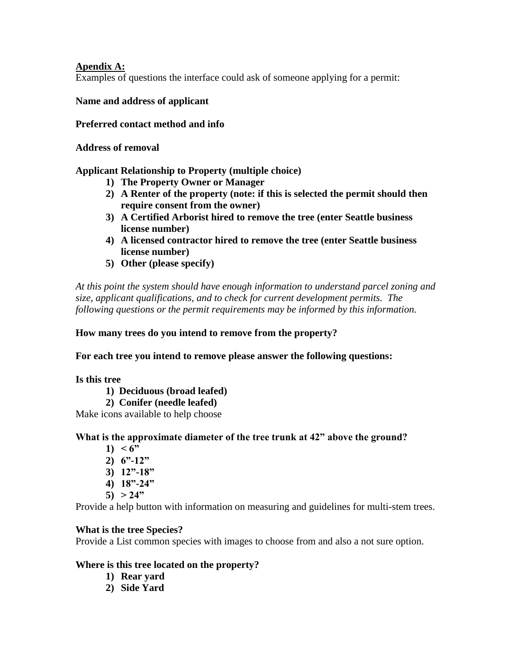#### **Apendix A:**

Examples of questions the interface could ask of someone applying for a permit:

#### **Name and address of applicant**

#### **Preferred contact method and info**

#### **Address of removal**

### **Applicant Relationship to Property (multiple choice)**

- **1) The Property Owner or Manager**
- **2) A Renter of the property (note: if this is selected the permit should then require consent from the owner)**
- **3) A Certified Arborist hired to remove the tree (enter Seattle business license number)**
- **4) A licensed contractor hired to remove the tree (enter Seattle business license number)**
- **5) Other (please specify)**

*At this point the system should have enough information to understand parcel zoning and size, applicant qualifications, and to check for current development permits. The following questions or the permit requirements may be informed by this information.*

#### **How many trees do you intend to remove from the property?**

**For each tree you intend to remove please answer the following questions:**

#### **Is this tree**

- **1) Deciduous (broad leafed)**
- **2) Conifer (needle leafed)**

Make icons available to help choose

### **What is the approximate diameter of the tree trunk at 42" above the ground?**

- 1)  $< 6$ "
- **2) 6"-12"**
- **3) 12"-18"**
- **4) 18"-24"**
- **5) > 24"**

Provide a help button with information on measuring and guidelines for multi-stem trees.

### **What is the tree Species?**

Provide a List common species with images to choose from and also a not sure option.

### **Where is this tree located on the property?**

- **1) Rear yard**
- **2) Side Yard**